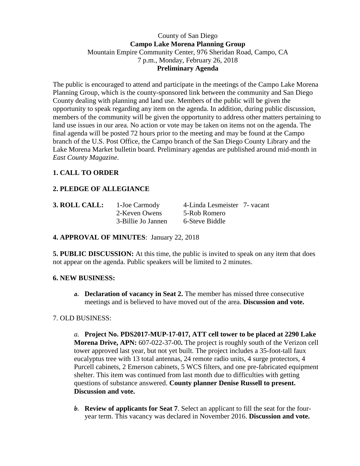### County of San Diego **Campo Lake Morena Planning Group** Mountain Empire Community Center, 976 Sheridan Road, Campo, CA 7 p.m., Monday, February 26, 2018 **Preliminary Agenda**

The public is encouraged to attend and participate in the meetings of the Campo Lake Morena Planning Group, which is the county-sponsored link between the community and San Diego County dealing with planning and land use. Members of the public will be given the opportunity to speak regarding any item on the agenda. In addition, during public discussion, members of the community will be given the opportunity to address other matters pertaining to land use issues in our area. No action or vote may be taken on items not on the agenda. The final agenda will be posted 72 hours prior to the meeting and may be found at the Campo branch of the U.S. Post Office, the Campo branch of the San Diego County Library and the Lake Morena Market bulletin board. Preliminary agendas are published around mid-month in *East County Magazine*.

# **1. CALL TO ORDER**

# **2. PLEDGE OF ALLEGIANCE**

| 3. ROLL CALL: | 1-Joe Carmody      | 4-Linda Lesmeister 7- vacant |  |
|---------------|--------------------|------------------------------|--|
|               | 2-Keven Owens      | 5-Rob Romero                 |  |
|               | 3-Billie Jo Jannen | 6-Steve Biddle               |  |

### **4. APPROVAL OF MINUTES**: January 22, 2018

**5. PUBLIC DISCUSSION:** At this time, the public is invited to speak on any item that does not appear on the agenda. Public speakers will be limited to 2 minutes.

### **6. NEW BUSINESS:**

**a. Declaration of vacancy in Seat 2.** The member has missed three consecutive meetings and is believed to have moved out of the area. **Discussion and vote.**

### 7. OLD BUSINESS:

*a.* **Project No. PDS2017-MUP-17-017, ATT cell tower to be placed at 2290 Lake Morena Drive, APN:** 607-022-37-00**.** The project is roughly south of the Verizon cell tower approved last year, but not yet built. The project includes a 35-foot-tall faux eucalyptus tree with 13 total antennas, 24 remote radio units, 4 surge protectors, 4 Purcell cabinets, 2 Emerson cabinets, 5 WCS filters, and one pre-fabricated equipment shelter. This item was continued from last month due to difficulties with getting questions of substance answered. **County planner Denise Russell to present. Discussion and vote.**

**b. Review of applicants for Seat 7**. Select an applicant to fill the seat for the fouryear term. This vacancy was declared in November 2016. **Discussion and vote.**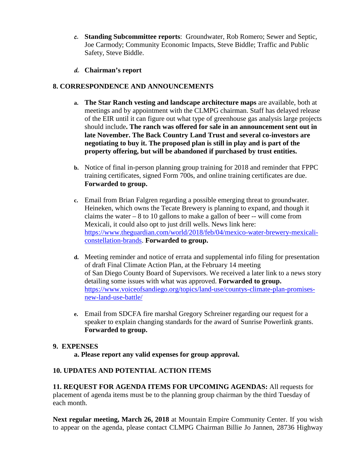- **c. Standing Subcommittee reports**: Groundwater, Rob Romero; Sewer and Septic, Joe Carmody; Community Economic Impacts, Steve Biddle; Traffic and Public Safety, Steve Biddle.
- **d. Chairman's report**

### **8. CORRESPONDENCE AND ANNOUNCEMENTS**

- **a. The Star Ranch vesting and landscape architecture maps** are available, both at meetings and by appointment with the CLMPG chairman. Staff has delayed release of the EIR until it can figure out what type of greenhouse gas analysis large projects should include**. The ranch was offered for sale in an announcement sent out in late November. The Back Country Land Trust and several co-investors are negotiating to buy it. The proposed plan is still in play and is part of the property offering, but will be abandoned if purchased by trust entities.**
- **b.** Notice of final in-person planning group training for 2018 and reminder that FPPC training certificates, signed Form 700s, and online training certificates are due. **Forwarded to group.**
- **c.** Email from Brian Falgren regarding a possible emerging threat to groundwater. Heineken, which owns the Tecate Brewery is planning to expand, and though it claims the water  $-8$  to 10 gallons to make a gallon of beer  $-$ - will come from Mexicali, it could also opt to just drill wells. News link here: [https://www.theguardian.com/world/2018/feb/04/mexico-water-brewery-mexicali](https://www.theguardian.com/world/2018/feb/04/mexico-water-brewery-mexicali-constellation-brands)[constellation-brands.](https://www.theguardian.com/world/2018/feb/04/mexico-water-brewery-mexicali-constellation-brands) **Forwarded to group.**
- **d.** Meeting reminder and notice of errata and supplemental info filing for presentation of draft Final Climate Action Plan, at the February 14 meeting of San Diego County Board of Supervisors. We received a later link to a news story detailing some issues with what was approved. **Forwarded to group.** [https://www.voiceofsandiego.org/topics/land-use/countys-climate-plan-promises](https://www.voiceofsandiego.org/topics/land-use/countys-climate-plan-promises-new-land-use-battle/)[new-land-use-battle/](https://www.voiceofsandiego.org/topics/land-use/countys-climate-plan-promises-new-land-use-battle/)
- **e.** Email from SDCFA fire marshal Gregory Schreiner regarding our request for a speaker to explain changing standards for the award of Sunrise Powerlink grants. **Forwarded to group.**

### **9. EXPENSES**

**a. Please report any valid expenses for group approval.**

### **10. UPDATES AND POTENTIAL ACTION ITEMS**

**11. REQUEST FOR AGENDA ITEMS FOR UPCOMING AGENDAS:** All requests for placement of agenda items must be to the planning group chairman by the third Tuesday of each month.

**Next regular meeting, March 26, 2018** at Mountain Empire Community Center. If you wish to appear on the agenda, please contact CLMPG Chairman Billie Jo Jannen, 28736 Highway